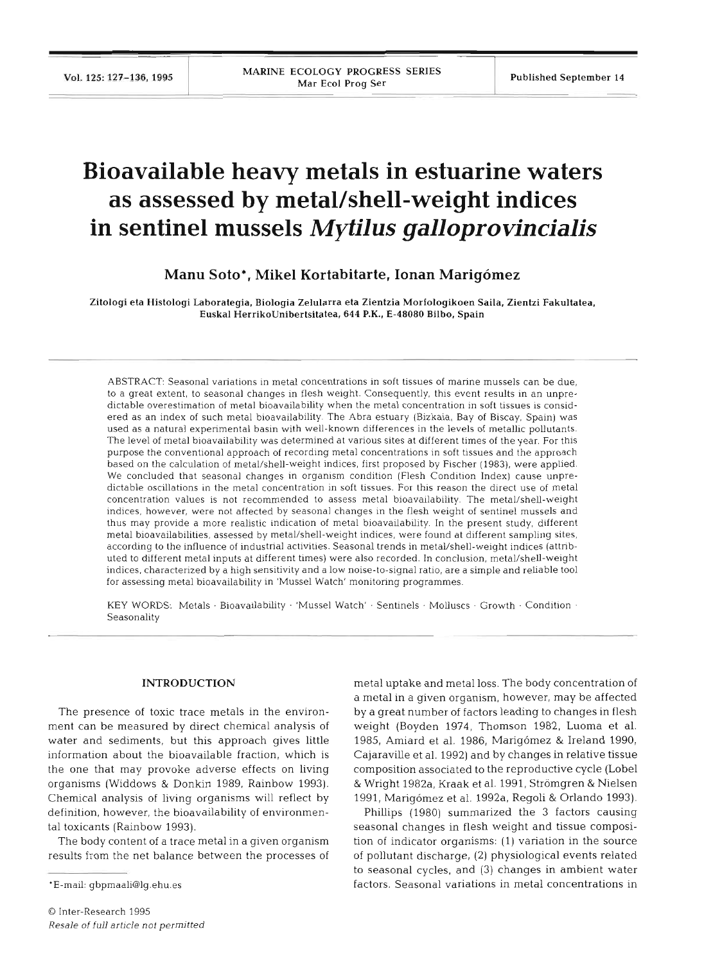# **Bioavailable heavy metals in estuarine waters**  as assessed by metal/shell-weight indices **in sentinel mussels** *Mytilus galloprovincialis*

## **Manu Soto\*, Mike1 Kortabitarte, Ionan Marigomez**

Zitologi eta Histologi Laborategia, Biologia Zelularra eta Zientzia Morfologikoen Saila, Zientzi Fakultatea, Euskal HerrikoUnibertsitatea, 644 P.K., E-48080 Bilbo, Spain

ABSTRACT: Seasonal variations in metal concentrations in soft tissues of marine mussels can be due, to a great extent, to seasonal changes in flesh weight. Consequently, this event results in an unpredictable overestimation of metal bioavailability when the metal concentration in soft tissues is considered as an index of such metal bioavallability. The Abra estuary (Bizkaia, Bay of Biscay, Spain) was used as a natural experimental basin with well-known differences in the levels of metallic pollutants. The level of metal bioavailability was determined at various sites at different times of the year. For this purpose the conventional approach of recording metal concentrations in soft tissues and the approach based on the calculation of metal/shell-weight indices, first proposed by Fischer (1983), were applied. We concluded that seasonal changes in organism condition (Flesh Condition Index) cause unpredictable oscillations in the metal concentration in soft tissues. For this reason the direct use of metal concentration values is not recommended to assess metal bioavailability. The metal/shell-weigh indices, however, were not affected by seasonal changes in the flesh weight of sentinel mussels and thus may provide a more realistic indication of metal bioavailability. In the present study, different metal bioavailabilities, assessed by metal/shell-weight indices, were found at different sampling sites, according to the influence of industrial activities. Seasonal trends in metal/shell-weight indices (attributed to different metal inputs at different times) were also recorded. In conclusion, metal/shell-weight indices, characterized by a high sensitivity and a low noise-to-signal ratio, are a simple and rehable tool for assessing metal bioavailability in 'Mussel Watch' monitoring programmes.

KEY WORDS: Metals · Bioavailability · 'Mussel Watch' · Sentinels · Molluscs · Growth · Condition · Seasonality

## **INTRODUCTION**

The presence of toxic trace metals in the environment can be measured by direct chemical analysis of water and sediments, but this approach gives little information about the bioavailable fraction, which is the one that may provoke adverse effects on living organisms (Widdows & Donkin 1989, Rainbow 1993). Chemical analysis of living organisms will reflect by definition, however, the bioavailability of environmental toxicants (Rainbow 1993).

The body content of a trace metal in a given organism results from the net balance between the processes of metal uptake and metal loss. The body concentration of a metal in a given organism, however, may be affected by a great number of factors leading to changes in flesh weight (Boyden 1974, Thomson 1982, Luoma et al. 1985, Amiard et al. 1986, Marigomez & Ireland 1990, Cajaraville et al. 1992) and by changes in relative tissue composition associated to the reproductive cycle (Lobe1 & Wright 1982a, Kraak et al. 1991, Stromgren & Nielsen 1991, Marig6mez et al. 1992a, Regoli & Orlando 1993).

Phillips (1980) summarized the 3 factors causing seasonal changes in flesh weight and tissue composition of indicator organisms: (1) variation in the source of pollutant discharge, (2) physiological events related to seasonal cycles, and **(3)** changes in ambient water factors. Seasonal variations in metal concentrations in

<sup>\*</sup>E-mail: gbpmaali@lg.ehu.es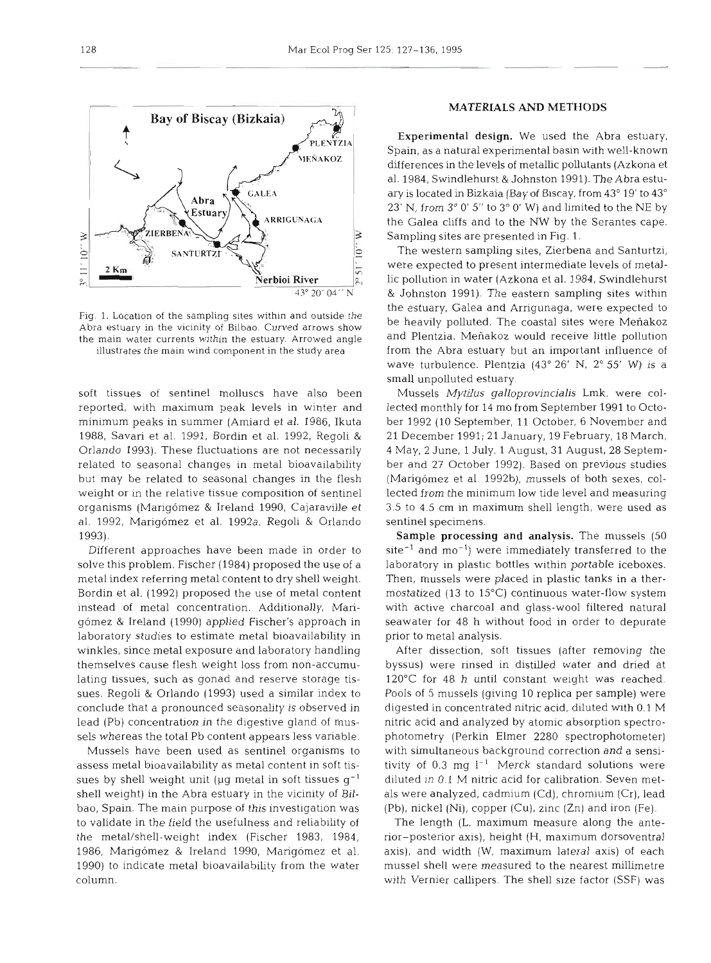Fig. 1. Location of the sampling sites within and outside the Abra estuary in the vicinity of Bilbao. Curved arrows show the main water currents within the estuary. Arrowed angle illustrates the main wind component in the study area

soft tissues of sentinel molluscs have also been reported, with maximum peak levels in winter and minimum peaks in summer (Amiard et al. 1986, Ikuta 1988, Savari et al. 1991, Bordin et al. 1992, Regoli & Orlando 1993). These fluctuations are not necessarily related to seasonal changes in metal bioavailability but may be related to seasonal changes in the flesh weight or in the relative tissue composition of sentinel organisms (Marigomez & Ireland 1990, Cajaraville et al. 1992, Marigómez et al. 1992a, Regoli & Orlando 1993).

Different approaches have been made in order to solve this problem. Fischer (1984) proposed the use of a metal index referring metal content to dry shell weight. Bordin et al. (1992) proposed the use of metal content instead of metal concentration. Additionally, Marigomez & Ireland (1990) applied Fischer's approach in laboratory studies to estimate metal bioavailability in winkles, since metal exposure and laboratory handling themselves cause flesh weight loss from non-accumulating tissues, such as gonad and reserve storage tissues. Regoli & Orlando (1993) used a similar index to conclude that a pronounced seasonality is observed in lead (Pb) concentration in the digestive gland of mussels whereas the total Pb content appears less variable.

Mussels have been used as sentinel organisms to assess metal bioavailability as metal content in soft tissues by shell weight unit ( $\mu$ g metal in soft tissues  $g^{-1}$ shell weight) in the Abra estuary in the vicinity of Bilbao, Spain. The main purpose of this investigation was to validate in the field the usefulness and reliability of the metal/shell-weight index (Fischer 1983, 1984, 1986, Marigomez & Ireland 1990, Marigomez et al. 1990) to indicate metal bioavailability from the water column.

## MATERIALS AND METHODS

**3**  Sampling sites are presented in Fig. 1. Experimental design. We used the Abra estuary, Spain, as a natural experimental basin with well-known differences in the levels of metallic pollutants (Azkona et al. 1984, Swindlehurst & Johnston 1991). The Abra estuary is located in Bizkaia (Bay of Biscay, from 43" 19' to 43" 23' N, from  $3^{\circ}$  0' 5" to  $3^{\circ}$  0' W) and limited to the NE by the Galea cliffs and to the NW by the Serantes cape.

The western sampling sites, Zierbena and Santurtzi, were expected to present intermediate levels of metallic pollution in water (Azkona et al. 1984, Swindlehurst & Johnston 1991). The eastern sampling sites within the estuary, Galea and Arngunaga, were expected to be heavily polluted. The coastal sites were Menakoz and Plentzia. Menakoz would receive little pollution from the Abra estuary but an important influence of wave turbulence. Plentzia  $(43^{\circ} 26' N, 2^{\circ} 55' W)$  is a small unpolluted estuary.

Mussels *Mytilus galloprovinciahs* Lmk. were collected monthly for 14 mo from September 1991 to October 1992 (10 September, 11 October, 6 November and 21 December 1991; 21 January, 19 February, 18 March, 4 May, 2 June, 1 July, 1 August, 31 August, 28 September and 27 October 1992). Based on previous studies (Marigómez et al. 1992b), mussels of both sexes, collected from the minimum low tide level and measuring 3.5 to 4.5 cm in maximum shell length, were used as sentinel specimens.

Sample processing and analysis. The mussels (50 site<sup>-1</sup> and mo<sup>-1</sup>) were immediately transferred to the laboratory in plastic bottles within portable iceboxes. Then, mussels were placed in plastic tanks in a thermostatized (13 to 15°C) continuous water-flow system with active charcoal and glass-wool filtered natural seawater for 48 h without food in order to depurate prior to metal analysis.

After dissection, soft tissues (after removing the byssus) were rinsed in distilled water and dried at 120°C for 48 h until constant weight was reached. Pools of 5 mussels (giving 10 replica per sample) were digested in concentrated nitric acid, diluted with 0.1 M nitric acid and analyzed by atomic absorption spectrophotometry (Perkin Elmer 2280 spectrophotometer) with simultaneous background correction and a sensitivity of 0.3 mg  $l^{-1}$  Merck standard solutions were diluted in 0.1 M nitric acid for calibration. Seven metals were analyzed, cadmium (Cd), chromium (Cr), lead (Pb), nickel (Ni), copper (Cu), zinc (Zn) and iron (Fe).

The length (L, maximum measure along the anterior-posterior axis), height (H, maximum dorsoventral axis), and width (W, maximum lateral axis) of each mussel shell were measured to the nearest millimetre with Vernier callipers. The shell size factor (SSF) was

Mar Ecol Prog Ser 125: 127-136, 1995

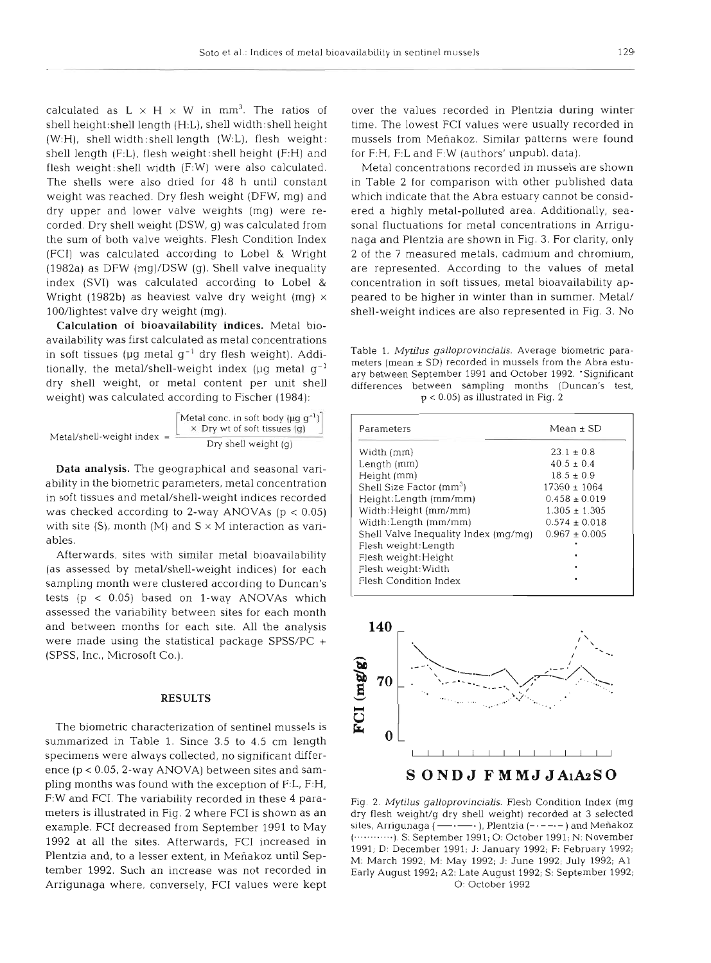calculated as  $L \times H \times W$  in mm<sup>3</sup>. The ratios of shell height:shell length (H:L), shell width:shell height (W:H), shell width:shell length (W:L), flesh weight: shell length (F:L), flesh weight:shell height (F:H) and flesh weight: shell width (F:W) were also calculated. The shells were also dried for 48 h until constant weight was reached. Dry flesh weight (DFW, mg) and dry upper and lower valve weights (mg) were recorded. Dry shell weight (DSW, g) was calculated from the sum of both valve weights. Flesh Condition Index (FCI) was calculated according to Lobel & Wright (1982a) as DFW (mg)/DSW (g). Shell valve inequality index (SVI) was calculated according to Lobel & Wright (1982b) as heaviest valve dry weight (mg)  $\times$ 100/lightest valve dry weight (mg).

Calculation of bioavailability indices. Metal bioavailability was first calculated as metal concentrations in soft tissues ( $\mu$ g metal g<sup>-1</sup> dry flesh weight). Additionally, the metal/shell-weight index ( $\mu$ g metal g<sup>-1</sup> dry shell weight, or metal content per unit shell weight) was calculated according to Fischer (1984):

$$
\text{Meta/shell-weight index} = \frac{\left[\begin{array}{c}\text{Metal-conc. in soft body (µg g-1)}\right]}{\times \text{ Dry wt of soft tissues (g)}}\\ \text{Dry shell weight (g)}\end{array}\right]}
$$

Data analysis. The geographical and seasonal variability in the biometric parameters, metal concentration in soft tissues and metal/shell-weight indices recorded was checked according to 2-way ANOVAs  $(p < 0.05)$ with site  $(S)$ , month  $(M)$  and  $S \times M$  interaction as variables.

Afterwards, sites with similar metal bioavailability (as assessed by metal/shell-weight indices) for each sampling month were clustered according to Duncan's tests  $(p < 0.05)$  based on 1-way ANOVAs which assessed the variability between sites for each month and between months for each site. All the analysis were made using the statistical package SPSS/PC + (SPSS, Inc., Microsoft Co.).

#### **RESULTS**

The biometric characterization of sentinel mussels is summarized in Table 1. Since 3.5 to 4.5 cm length specimens were always collected, no significant difference  $(p < 0.05, 2$ -way ANOVA) between sites and sampling months was found with the exception of F:L, F:H, F:W and FCI. The variability recorded in these 4 parameters is illustrated in Fig. 2 where FCI is shown as an example. FCI decreased from September 1991 to May 1992 at all the sites. Afterwards, FCI increased in Plentzia and, to a lesser extent, in Meñakoz until September 1992. Such an increase was not recorded in Arrigunaga where, conversely, FCI values were kept over the values recorded in Plentzia during winter time. The lowest FCI values were usually recorded in mussels from Menakoz. Similar patterns were found for F:H, F:L and F:W (authors' unpubl. data).

Metal concentrations recorded in mussels are shown in Table 2 for comparison with other published data which indicate that the Abra estuary cannot be considered a highly metal-polluted area. Additionally, seasonal fluctuations for metal concentrations in Arrigunaga and Plentzia are shown in Fig. **3.** For clarity, only 2 of the 7 measured metals, cadmium and chromium, are represented. According to the values of metal concentration in soft tissues, metal bioavailability appeared to be higher in winter than in summer. Metal/ shell-weight indices are also represented in Fig. 3. No

Table 1. Mytilus galloprovincialis. Average biometric parameters (mean  $\pm$  SD) recorded in mussels from the Abra estuary between September 1991 and October 1992. 'Significant differences between sampling months (Duncan's test,  $p < 0.05$ ) as illustrated in Fig. 2

| Parameters                           | $Mean \pm SD$     |
|--------------------------------------|-------------------|
| Width (mm)                           | $23.1 \pm 0.8$    |
| Length (mm)                          | $40.5 \pm 0.4$    |
| Height (mm)                          | $18.5 \pm 0.9$    |
| Shell Size Factor (mm <sup>3</sup> ) | $17360 \pm 1064$  |
| Height:Length (mm/mm)                | $0.458 \pm 0.019$ |
| Width: Height (mm/mm)                | $1.305 + 1.305$   |
| Width:Length (mm/mm)                 | $0.574 \pm 0.018$ |
| Shell Valve Inequality Index (mg/mg) | $0.967 \pm 0.005$ |
| Flesh weight:Length                  |                   |
| Flesh weight: Height                 | ٠                 |
| Flesh weight: Width                  | ٠                 |
| <b>Flesh Condition Index</b>         |                   |



Fig. 2. Mytilus galloprovincialis. Flesh Condition Index (mg dry flesh weight/g dry shell weight) recorded at **3** selected sites, Arrigunaga **(-v--** ), Plentzia ) and Menakoz (............ ). S: September 1991; 0: October 1991; N: November 1991; D: December 1991; J: January 1992; F: February 1992; M: March 1992; M: May 1992; J: June 1992; July 1992; A1 Early August 1992; A2: Late August 1992; S: September 1992; 0: October 1992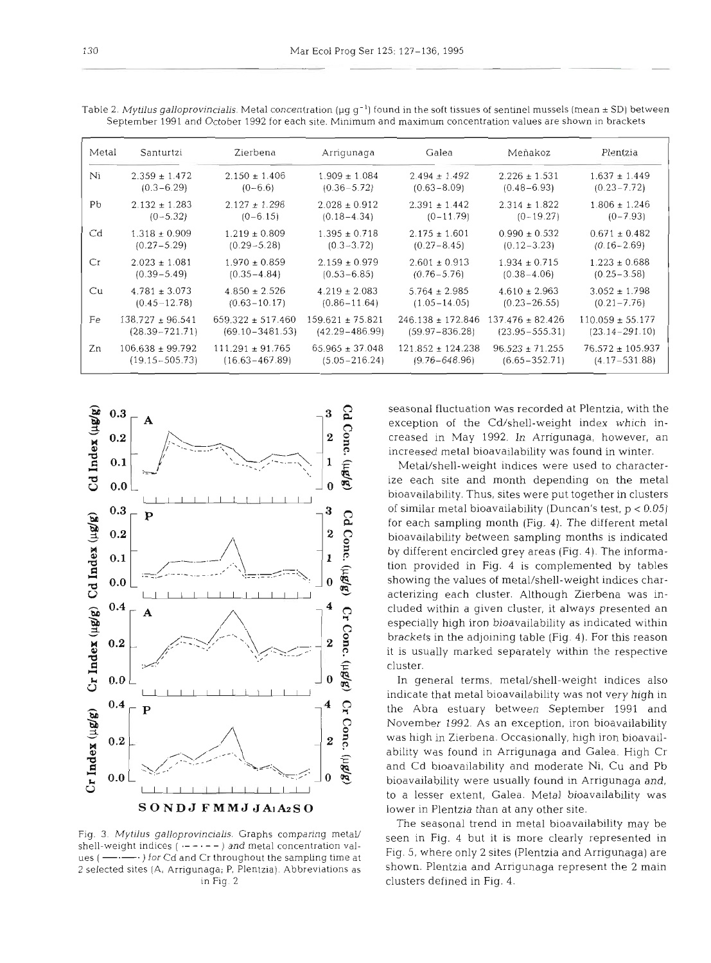| Metal | Santurtzi            | Zierbena              | Arrigunaga           | Galea                 | Meñakoz             | Plentzia             |
|-------|----------------------|-----------------------|----------------------|-----------------------|---------------------|----------------------|
| Ni    | $2.359 \pm 1.472$    | $2.150 \pm 1.406$     | $1.909 \pm 1.084$    | $2.494 \pm 1.492$     | $2.226 \pm 1.531$   | $1.637 \pm 1.449$    |
|       | $(0.3 - 6.29)$       | $(0-6.6)$             | $(0.36 - 5.72)$      | $(0.63 - 8.09)$       | $(0.48 - 6.93)$     | $(0.23 - 7.72)$      |
| Pb    | $2.132 \pm 1.283$    | $2.127 \pm 1.298$     | $2.028 \pm 0.912$    | $2.391 \pm 1.442$     | $2.314 \pm 1.822$   | $1.806 \pm 1.246$    |
|       | $(0-5.32)$           | $(0 - 6.15)$          | $(0.18 - 4.34)$      | $(0-11.79)$           | $(0-19.27)$         | $(0 - 7.93)$         |
| Cd    | $1.318 \pm 0.909$    | $1.219 \pm 0.809$     | $1.395 \pm 0.718$    | $2.175 \pm 1.601$     | $0.990 \pm 0.532$   | $0.671 \pm 0.482$    |
|       | $(0.27 - 5.29)$      | $(0.29 - 5.28)$       | $(0.3 - 3.72)$       | $(0.27 - 8.45)$       | $(0.12 - 3.23)$     | $(0.16 - 2.69)$      |
| Cr    | $2.023 \pm 1.081$    | $1.970 \pm 0.859$     | $2.159 \pm 0.979$    | $2.601 \pm 0.913$     | $1.934 \pm 0.715$   | $1.223 \pm 0.688$    |
|       | $(0.39 - 5.49)$      | $(0.35 - 4.84)$       | $(0.53 - 6.85)$      | $(0.76 - 5.76)$       | $(0.38 - 4.06)$     | $(0.25 - 3.58)$      |
| Cu    | $4.781 \pm 3.073$    | $4.850 \pm 2.526$     | $4.219 \pm 2.083$    | $5.764 \pm 2.985$     | $4.610 \pm 2.963$   | $3.052 \pm 1.798$    |
|       | $(0.45 - 12.78)$     | $(0.63 - 10.17)$      | $(0.86 - 11.64)$     | $(1.05 - 14.05)$      | $(0.23 - 26.55)$    | $(0.21 - 7.76)$      |
| Fe    | $138.727 \pm 96.541$ | $659.322 \pm 517.460$ | $159.621 \pm 75.821$ | $246.138 \pm 172.846$ | $137.476 + 82.426$  | $110.059 \pm 55.177$ |
|       | $(28.39 - 721.71)$   | $(69.10 - 3481.53)$   | $(42.29 - 486.99)$   | $(59.97 - 836.28)$    | $(23.95 - 555.31)$  | $(23.14 - 291.10)$   |
| Zn    | $106.638 \pm 99.792$ | $111.291 \pm 91.765$  | $65.965 \pm 37.048$  | $121.852 \pm 124.238$ | $96.523 \pm 71.255$ | $76.572 \pm 105.937$ |
|       | $(19.15 - 505.73)$   | $(16.63 - 467.89)$    | $(5.05 - 216.24)$    | $(9.76 - 648.96)$     | $(6.65 - 352.71)$   | $(4.17 - 531.88)$    |

Table 2. Mytilus galloprovincialis. Metal concentration ( $\mu g g^{-1}$ ) found in the soft tissues of sentinel mussels (mean  $\pm$  SD) between September 1991 and October 1992 for each site. Minimum and maximum concentration values are shown in brackets



Fig. 3. Mytilus galloprovincialis. Graphs comparing metal/ shell-weight indices  $(- - - - -)$  and metal concentration values  $(- \cdots)$  for Cd and Cr throughout the sampling time at 2 selected sites (A, Arrigunaga; P, Plentzia). Abbreviations as in Fig. 2

seasonal fluctuation was recorded at Plentzia, with the exception of the Cd/shell-weight index which increased in May 1992. In Arrigunaga, however, an increased metal bioavailability was found in winter.

Metal/shell-weight indices were used to characterize each site and month depending on the metal bloavailability. Thus, sites were put together in clusters of similar metal bioavailability (Duncan's test, p < 0.05) for each sampling month (Fig. 4). The different metal bioavailability between sampling months is indicated by different encircled grey areas (Fig. 4). The information provided in Fig. 4 is complemented by tables showing the values of metal/shell-weight indices characterizing each cluster. Although Zierbena was included within a given cluster, it always presented an especially high iron bioavailabillty as indicated within brackets in the adjoining table (Fig. 4). For this reason it is usually marked separately within the respective cluster.

In general terms, metal/shell-weight indices also indicate that metal bioavailability was not very high in the Abra estuary between September 1991 and November 1992. As an exception, iron bioavailability was high in Zierbena. Occasionally, high iron bioavailability was found in Arrigunaga and Galea. High Cr and Cd bioavailability and moderate Ni, Cu and Pb bioavailability were usually found in Arrigunaga and, to a lesser extent, Galea. Metal bioavailability was lower in Plentzia than at any other site.

The seasonal trend in metal bioavailability may be seen in Fig. 4 but it is more clearly represented in Fig. 5, where only 2 sites (Plentzia and Arrigunaga) are shown. Plentzia and Arrigunaga represent the 2 main clusters defined in Fig. 4.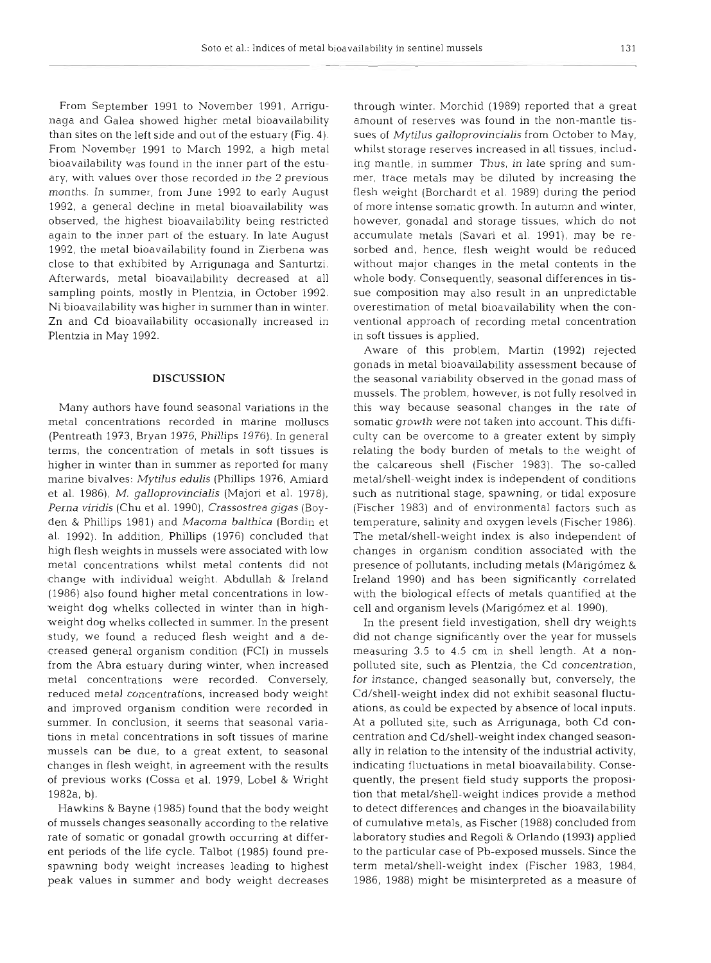From September 1991 to November 1991, Arrigunaga and Galea showed higher metal bioavailability than sites on the left side and out of the estuary (Fig. 4). From November 1991 to March 1992, a high metal bioavailability was found in the inner part of the estuary, with values over those recorded in the 2 previous months. In summer, from June 1992 to early August 1992, a general decline in metal bioavailability was observed, the highest bioavailability being restricted again to the inner part of the estuary. In late August 1992, the metal bioavailability found in Zierbena was close to that exhibited by Arrigunaga and Santurtzi. Afterwards, metal bioavailability decreased at all sampling points, mostly in Plentzia, in October 1992. Ni bioavailability was higher in summer than in winter. Zn and Cd bioavailability occasionally increased in Plentzia in May 1992.

#### **DISCUSSION**

Many authors have found seasonal variations in the metal concentrations recorded in marine molluscs (Pentreath 1973, Bryan 1976, Phillips 1976). In general terms, the concentration of metals in soft tissues is higher in winter than in summer as reported for many marine bivalves: *Mytilus edulis* (Phillips 1976, Amiard et al. 1986), M. *galloprovincialis* (Majori et al. 1978), *Perna vindis* (Chu et al. 1990), *Crassostrea gigas* (Boyden & Phillips 1981) and *Macoma balthica* (Bordin et al. 1992). In addition, Phillips (1976) concluded that high flesh weights in mussels were associated with low metal concentrations whilst metal contents did not change with individual weight. Abdullah & Ireland (1986) also found higher metal concentrations in lowweight dog whelks collected in winter than in highweight dog whelks collected in summer. In the present study, we found a reduced flesh weight and a decreased general organism condition (FCI) in mussels from the Abra estuary during winter, when increased metal concentrations were recorded. Conversely, reduced metal concentrations, increased body weight and improved organism condition were recorded in summer. In conclusion, it seems that seasonal variations in metal concentrations in soft tissues of marine mussels can be due, to a great extent, to seasonal changes in flesh weight, in agreement with the results of previous works (Cossa et al. 1979, Lobe1 & Wright 1982a, b).

Hawkins & Bayne (1985) found that the body weight of mussels changes seasonally according to the relative rate of somatic or gonadal growth occurring at different periods of the life cycle. Talbot (1985) found prespawning body weight increases leading to highest peak values in summer and body weight decreases

through winter. Morchid (1989) reported that a great amount of reserves was found in the non-mantle tissues of *Mytilus galloprovincialis* from October to May, whilst storage reserves increased in all tissues, including mantle, in summer Thus, in late spring and summer, trace metals may be diluted by increasing the flesh weight (Borchardt et al. 1989) during the period of more intense somatic growth. In autumn and winter, however, gonadal and storage tissues, which do not accumulate metals (Savari et al. 1991), may be resorbed and, hence, flesh weight would be reduced without major changes in the metal contents in the whole body. Consequently, seasonal differences in tissue composition may also result in an unpredictable overestimation of metal bioavailability when the conventional approach of recording metal concentration in soft tissues is applied.

Aware of this problem, Martin (1992) rejected gonads in metal bioavailability assessment because of the seasonal variability observed in the gonad mass of mussels. The problem, however, is not fully resolved in this way because seasonal changes in the rate of somatic growth were not taken into account. This difficulty can be overcome to a greater extent by simply relating the body burden of metals to the weight of the calcareous shell (Fischer 1983). The so-called metal/shell-weight index is independent of conditions such as nutritional stage, spawning, or tidal exposure (Fischer 1983) and of environmental factors such as temperature, salinity and oxygen levels (Fischer 1986). The metal/shell-weight index is also independent of changes in organism condition associated with the presence of pollutants, including metals (Marigomez & Ireland 1990) and has been significantly correlated with the biological effects of metals quantified at the cell and organism levels (Marigómez et al. 1990).

In the present field investigation, shell dry weights did not change significantly over the year for mussels measuring 3.5 to 4.5 cm in shell length. At a nonpolluted site, such as Plentzia, the Cd concentration, for instance, changed seasonally but, conversely, the Cd/shell-weight index did not exhibit seasonal fluctuations, as could be expected by absence of local inputs. At a polluted site, such as Arrigunaga, both Cd concentration and Cd/shell-weight index changed seasonally in relation to the intensity of the industrial activity, indicating fluctuations in metal bioavailability. Consequently, the present field study supports the proposition that metal/shell-weight indices provide a method to detect differences and changes in the bioavailability of cumulative metals, as Fischer (1988) concluded from laboratory studies and Regoli & Orlando (1993) applied to the particular case of Pb-exposed mussels. Since the term metal/shell-weight index (Fischer 1983, 1984, 1986, 1988) might be misinterpreted as a measure of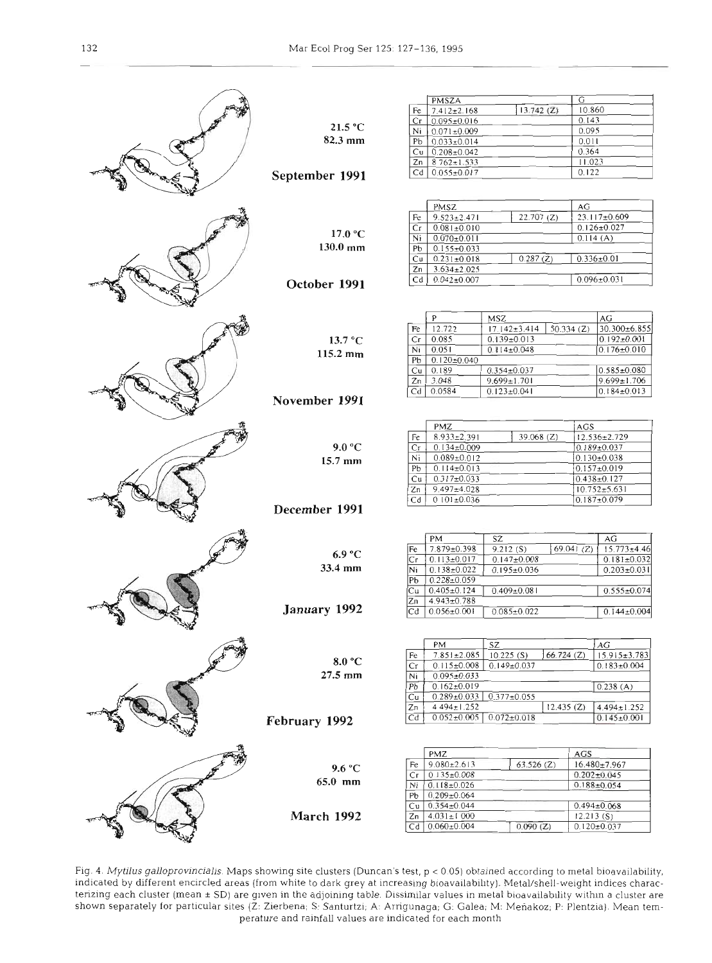|                |    | PMSZA             |                    | G            |                    |
|----------------|----|-------------------|--------------------|--------------|--------------------|
|                | Fe | $7.412 \pm 2.168$ | 13.742(Z)          | 10.860       |                    |
|                | Cr | $0.095 \pm 0.016$ |                    | 0.143        |                    |
| 21.5 °C        |    |                   |                    | 0.095        |                    |
|                | Ni | $0.071 \pm 0.009$ |                    |              |                    |
| 82.3 mm        | Pb | $0.033 \pm 0.014$ |                    | 0.011        |                    |
|                | Cu | $0.208 \pm 0.042$ |                    | 0.364        |                    |
|                | Zn | $8762 \pm 1.533$  |                    | 11.023       |                    |
|                |    |                   |                    |              |                    |
| September 1991 | Cd | $0.055 \pm 0.017$ |                    | 0.122        |                    |
|                |    |                   |                    |              |                    |
|                |    |                   |                    |              |                    |
|                |    | PMSZ              |                    | AG           |                    |
|                |    |                   |                    |              |                    |
|                | Fe | $9.523 \pm 2.471$ | 22.707(Z)          |              | 23.117±0.609       |
|                | Cr | $0.081 \pm 0.010$ |                    |              | $0.126 \pm 0.027$  |
| 17.0 °C        | Ni | $0.070 \pm 0.011$ |                    | 0.114(A)     |                    |
| $130.0$ mm     | Pb | $0.155 \pm 0.033$ |                    |              |                    |
|                |    |                   |                    |              |                    |
|                | Сu | $0.231 \pm 0.018$ | 0.287(Z)           |              | $0.336 \pm 0.01$   |
|                | Zn | $3.634 \pm 2.025$ |                    |              |                    |
| October 1991   | Cd | $0.042 \pm 0.007$ |                    |              | $0.096 \pm 0.031$  |
|                |    |                   |                    |              |                    |
|                |    |                   |                    |              |                    |
|                |    |                   |                    |              |                    |
|                |    | P                 | <b>MSZ</b>         |              | AG                 |
|                |    |                   |                    |              |                    |
|                | Fe | 12.722            | $17.142 \pm 3.414$ | 50.334 $(Z)$ | 30.300±6.855       |
| 13.7 °C        | Cг | 0.085             | $0.139 \pm 0.013$  |              | $0.192 \pm 0.001$  |
|                | Ni | 0.051             | $0.114 \pm 0.048$  |              | $0.176 \pm 0.010$  |
| 115.2 mm       | Pb | $0.120 \pm 0.040$ |                    |              |                    |
|                |    |                   |                    |              |                    |
|                | Cu | 0.189             | $0.354 \pm 0.037$  |              | $0.585 \pm 0.080$  |
|                | Zn | 3.048             | $9.699 \pm 1.701$  |              | $9.699 \pm 1.706$  |
|                | Cd | 0.0584            | $0.123 \pm 0.041$  |              | $0.184 \pm 0.013$  |
| November 1991  |    |                   |                    |              |                    |
|                |    |                   |                    |              |                    |
|                |    |                   |                    |              |                    |
|                |    | PMZ               |                    | AGS          |                    |
|                | Fe | 8.933±2.391       | 39.068 (Z)         |              | $12.536 \pm 2.729$ |
| 9.0 °C         | Сr | $0.134 \pm 0.009$ |                    |              | $0.189 \pm 0.037$  |
|                |    |                   |                    |              |                    |
| $15.7$ mm      | Ni | $0.089 \pm 0.012$ |                    |              | $0.130 \pm 0.038$  |
|                | Pb | $0.114 \pm 0.013$ |                    |              | $0.157 \pm 0.019$  |
|                | Сu | $0.317 \pm 0.033$ |                    |              | $0.438 \pm 0.127$  |
|                | Zn | $9.497 \pm 4.028$ |                    |              | $10.752 \pm 5.631$ |
|                |    |                   |                    |              |                    |
|                | Cd | $0.101 \pm 0.036$ |                    |              | $0.187 \pm 0.079$  |
| December 1991  |    |                   |                    |              |                    |
|                |    |                   |                    |              |                    |
|                |    |                   |                    |              |                    |
|                |    | PM                | SZ                 |              | AG                 |
|                | Fe | 7.879±0.398       | 9.212(S)           | 69.041 $(Z)$ | $15.773 \pm 4.46$  |
| 6.9 °C         | Сr | $0.113 \pm 0.017$ | $0.147 \pm 0.008$  |              | $0.181 \pm 0.032$  |
| 33.4 mm        | Ni | $0.138 \pm 0.022$ | $0.195 \pm 0.036$  |              | $0.203 \pm 0.031$  |
|                |    |                   |                    |              |                    |
|                | PЬ | $0.228 \pm 0.059$ |                    |              |                    |
|                | Сu | $0.405 \pm 0.124$ | $0.409 \pm 0.081$  |              | $0.555 \pm 0.074$  |
|                | Zn | $4.943 \pm 0.788$ |                    |              |                    |
| January 1992   | Cd | $0.056 \pm 0.001$ | $0.085 \pm 0.022$  |              | $0.144 \pm 0.004$  |
|                |    |                   |                    |              |                    |
|                |    |                   |                    |              |                    |
|                |    |                   |                    |              |                    |
|                |    | PM                | SZ                 |              | AG                 |
|                | Fe | $7.851 \pm 2.085$ | 10.225(S)          | 66.724(Z)    | $15.915 \pm 3.783$ |
| 8.0 °C         | Сr | $0.115 \pm 0.008$ | $0.149 \pm 0.037$  |              | $0.183 \pm 0.004$  |
| $27.5$ mm      | Ni | $0.095 \pm 0.033$ |                    |              |                    |
|                |    |                   |                    |              |                    |
|                | Pb | $0.162 \pm 0.019$ |                    |              | 0.238(A)           |
|                | Сu | $0.289 \pm 0.033$ | $0.377 \pm 0.055$  |              |                    |
|                | Zn | 4494±1.252        |                    | 12.435(Z)    | $4.494 \pm 1.252$  |
|                | Cd | $0.052 \pm 0.005$ | $0.072 \pm 0.018$  |              | $0.145 \pm 0.001$  |
| February 1992  |    |                   |                    |              |                    |
|                |    |                   |                    |              |                    |
|                |    |                   |                    |              |                    |
|                |    | PMZ               |                    | AGS          |                    |
|                | Fe | $9.080 \pm 2.613$ | $63.526$ (Z)       |              | 16.480±7.967       |
| 9.6 °C         |    |                   |                    |              |                    |
| 65.0 mm        | Сr | $0.135 \pm 0.008$ |                    |              | $0.202 + 0.045$    |
|                | Ni | $0.118 \pm 0.026$ |                    |              | $0.188 + 0.054$    |
|                | PЬ | $0.209 \pm 0.064$ |                    |              |                    |
|                | Сu | $0.354 \pm 0.044$ |                    |              | $0.494 \pm 0.068$  |
| March 1992     |    |                   |                    |              |                    |
|                | Zn | $4.031 \pm 1.000$ |                    | 12.213(S)    |                    |
|                | Cd | $0.060 \pm 0.004$ | 0.090(Z)           |              | $0.120 \pm 0.037$  |
|                |    |                   |                    |              |                    |
|                |    |                   |                    |              |                    |

Fig. 4. *Mytilus galloprovincialis*. Maps showing site clusters (Duncan's test, p < 0.05) obtained according to metal bioavailability, idicated by different encircled areas (from white to dark grey at increasing bioavailability). Metal/shell-weight indices charac-<br>rizing each cluster (mean ± SD) are given in the adjoining table. Dissimilar values in metal shown separately for particular sites (Z: Zierbena; S: Santurtzi; A: Arrigunaga; G: Galea; M: Meñakoz; P: Plentzia). Mean temperature and rainfall values are indicated for each month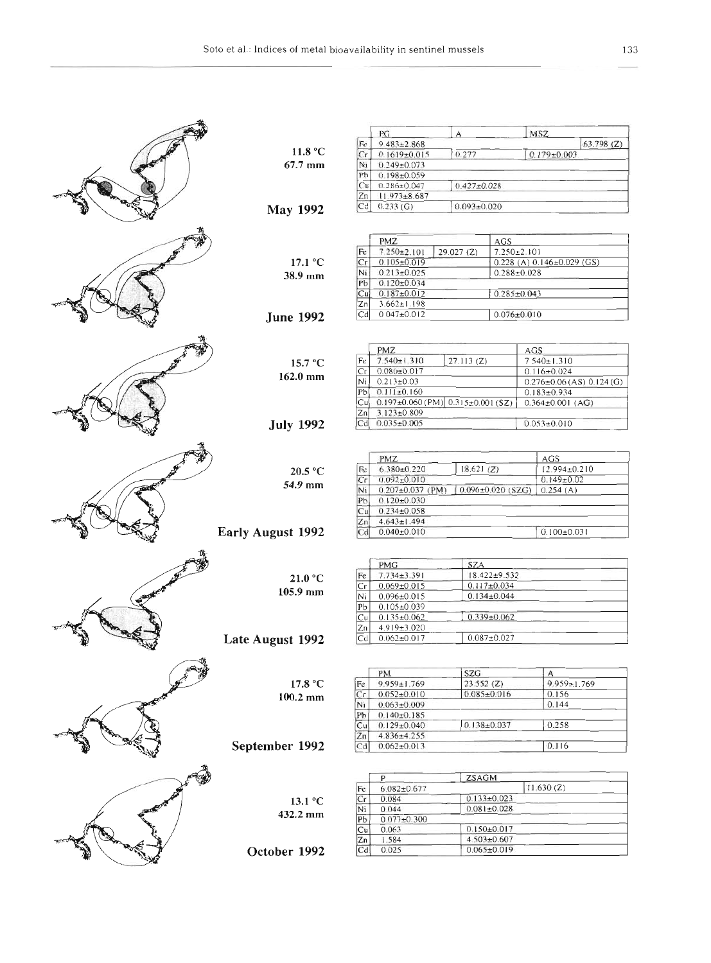|                          |                                               | PG<br>$9.483 \pm 2.868$                   | A                 |                                 | MSZ                             |                                   |
|--------------------------|-----------------------------------------------|-------------------------------------------|-------------------|---------------------------------|---------------------------------|-----------------------------------|
| 11.8 °C                  | Fe<br>Cr                                      |                                           | 0.277             |                                 |                                 | 63.798(Z)                         |
| 67.7 mm                  | Ni                                            | $0.1619 \pm 0.015$<br>$0.249 \pm 0.073$   |                   |                                 | $0.179 \pm 0.003$               |                                   |
|                          | Pb                                            | $0.198 \pm 0.059$                         |                   |                                 |                                 |                                   |
|                          | Cu                                            | $0.286 \pm 0.047$                         | $0.427 \pm 0.028$ |                                 |                                 |                                   |
|                          | Zn                                            | $11.973 \pm 8.687$                        |                   |                                 |                                 |                                   |
|                          |                                               | $Cd$ 0.233 (G)                            | $0.093 \pm 0.020$ |                                 |                                 |                                   |
| <b>May 1992</b>          |                                               |                                           |                   |                                 |                                 |                                   |
|                          |                                               |                                           |                   |                                 |                                 |                                   |
|                          |                                               | <b>PMZ</b>                                |                   | AGS.                            |                                 |                                   |
|                          | Fe                                            | $7.250 \pm 2.101$                         | 29.027(2)         | $7.250 \pm 2.101$               |                                 |                                   |
| 17.1 °C                  | Cr                                            | $0.105 \pm 0.019$                         |                   | $0.228(A) 0.146 \pm 0.029$ (GS) |                                 |                                   |
| 38.9 mm                  | Ni                                            | $0.213 \pm 0.025$                         |                   | $0.288 \pm 0.028$               |                                 |                                   |
|                          |                                               | Рb<br>$0.120 \pm 0.034$                   |                   |                                 |                                 |                                   |
|                          | Cu                                            | $0.187 \pm 0.012$                         |                   | $0.285 \pm 0.043$               |                                 |                                   |
|                          | Zn                                            | $3.662 \pm 1.198$                         |                   |                                 |                                 |                                   |
| <b>June 1992</b>         | Cd                                            | $0.047 \pm 0.012$                         |                   | $0.076 \pm 0.010$               |                                 |                                   |
|                          |                                               |                                           |                   |                                 |                                 |                                   |
|                          |                                               | PMZ                                       |                   |                                 |                                 |                                   |
|                          |                                               | $7.540 \pm 1.310$                         | 27.113(Z)         |                                 | <b>AGS</b><br>$7.540 \pm 1.310$ |                                   |
| 15.7 °C                  | Fe                                            | $0.080 \pm 0.017$                         |                   |                                 |                                 |                                   |
| 162.0 mm                 | Сr<br>Ni                                      | $0.213 \pm 0.03$                          |                   |                                 | $0.116 \pm 0.024$               |                                   |
|                          | Pb                                            | $0.111 \pm 0.160$                         |                   |                                 | $0.183 \pm 0.934$               | $0.276 \pm 0.06$ (AS) $0.124$ (G) |
|                          | lCu¦                                          | $0.197\pm0.060$ (PM) $0.315\pm0.001$ (SZ) |                   |                                 | $0.364 \pm 0.001$ (AG)          |                                   |
|                          | Zn                                            | $3.123 \pm 0.809$                         |                   |                                 |                                 |                                   |
|                          | Cd                                            | $0.035 \pm 0.005$                         |                   |                                 | $0.053 \pm 0.010$               |                                   |
| <b>July 1992</b>         |                                               |                                           |                   |                                 |                                 |                                   |
|                          |                                               |                                           |                   |                                 |                                 |                                   |
|                          |                                               | PMZ                                       |                   |                                 | AGS                             |                                   |
| 20.5 °C                  | Fc                                            | $6.380 \pm 0.220$                         | 18.621(Z)         |                                 | 12.994±0.210                    |                                   |
|                          | $\mathbb{C}\mathsf{r}$                        | $0.092 \pm 0.010$                         |                   |                                 | $0.149 \pm 0.02$                |                                   |
| 54.9 mm                  | Ni                                            | $0.207 \pm 0.037$ (PM)                    |                   | 0.096±0.020 (SZG)               | 0.254(A)                        |                                   |
|                          | Pb                                            | $0.120 \pm 0.030$                         |                   |                                 |                                 |                                   |
|                          | $0.234 \pm 0.058$<br>Cu                       |                                           |                   |                                 |                                 |                                   |
|                          | Zn                                            | $4.643 \pm 1.494$                         |                   |                                 |                                 |                                   |
| <b>Early August 1992</b> | Cd                                            | $0.040 \pm 0.010$                         | $0.100 \pm 0.031$ |                                 |                                 |                                   |
|                          |                                               |                                           |                   |                                 |                                 |                                   |
|                          |                                               |                                           |                   |                                 |                                 |                                   |
|                          |                                               | PMG                                       | SZA               |                                 |                                 |                                   |
| 21.0 °C                  | Fe                                            | $7.734 \pm 3.391$                         |                   | $18.422 \pm 9.532$              |                                 |                                   |
| $105.9$ mm               | Сr                                            | $0.069 \pm 0.015$                         | $0.117 \pm 0.034$ |                                 |                                 |                                   |
|                          | Ni                                            | $0.134 \pm 0.044$<br>$0.096 \pm 0.015$    |                   |                                 |                                 |                                   |
|                          |                                               | Pb<br>$0.105 \pm 0.039$                   |                   |                                 |                                 |                                   |
|                          | Cu                                            | $0.339 \pm 0.062$<br>$0.135 \pm 0.062$    |                   |                                 |                                 |                                   |
|                          | Zn<br>Cd                                      | 4.919±3.020                               |                   |                                 |                                 |                                   |
| Late August 1992         |                                               | $0.062 \pm 0.017$                         | $0.087 + 0.027$   |                                 |                                 |                                   |
|                          |                                               |                                           |                   |                                 |                                 |                                   |
|                          |                                               | PM                                        | SZG               |                                 | A.                              |                                   |
| 17.8 °C                  | Fε                                            | $9.959 \pm 1.769$                         | 23.552(2)         |                                 | $9.959 \pm 1.769$               |                                   |
| $100.2$ mm               | $\overline{C_{\mathbf{f}}}$                   | $0.052 \pm 0.010$                         | $0.085 \pm 0.016$ |                                 | 0.156                           |                                   |
|                          | Nı                                            | $0.063 \pm 0.009$                         |                   |                                 | 0.144                           |                                   |
|                          | Pĥ                                            | $0.140\pm 0.185$                          |                   |                                 |                                 |                                   |
|                          | $\overline{C}$ u                              | $0.129 \pm 0.040$                         | $0.138 + 0.037$   |                                 | 0.258                           |                                   |
|                          | $\overline{z}_n$                              | 4.836±4.255                               |                   |                                 |                                 |                                   |
| September 1992           | $C_{0}$                                       | $0.062 \pm 0.013$                         |                   |                                 | 0.116                           |                                   |
|                          |                                               |                                           |                   |                                 |                                 |                                   |
|                          |                                               |                                           |                   |                                 |                                 |                                   |
|                          | Fc                                            | P.<br>$6.082 \pm 0.677$                   | <b>ZSAGM</b>      |                                 | 11.630(Z)                       |                                   |
|                          | $C_1$                                         | 0.084                                     | $0.133 \pm 0.023$ |                                 |                                 |                                   |
| 13.1 °C                  | Ni                                            | 0.044                                     | $0.081 \pm 0.028$ |                                 |                                 |                                   |
| 432.2 mm                 | Pb                                            | $0.077 + 0.300$                           |                   |                                 |                                 |                                   |
|                          | $\overline{C}u$<br>$0.150 \pm 0.017$<br>0.063 |                                           |                   |                                 |                                 |                                   |
|                          | Zn                                            | 1.584<br>$4.503 \pm 0.607$                |                   |                                 |                                 |                                   |
| October 1992             | Cd                                            | 0.025                                     | $0.065 \pm 0.019$ |                                 |                                 |                                   |
|                          |                                               |                                           |                   |                                 |                                 |                                   |
|                          |                                               |                                           |                   |                                 |                                 |                                   |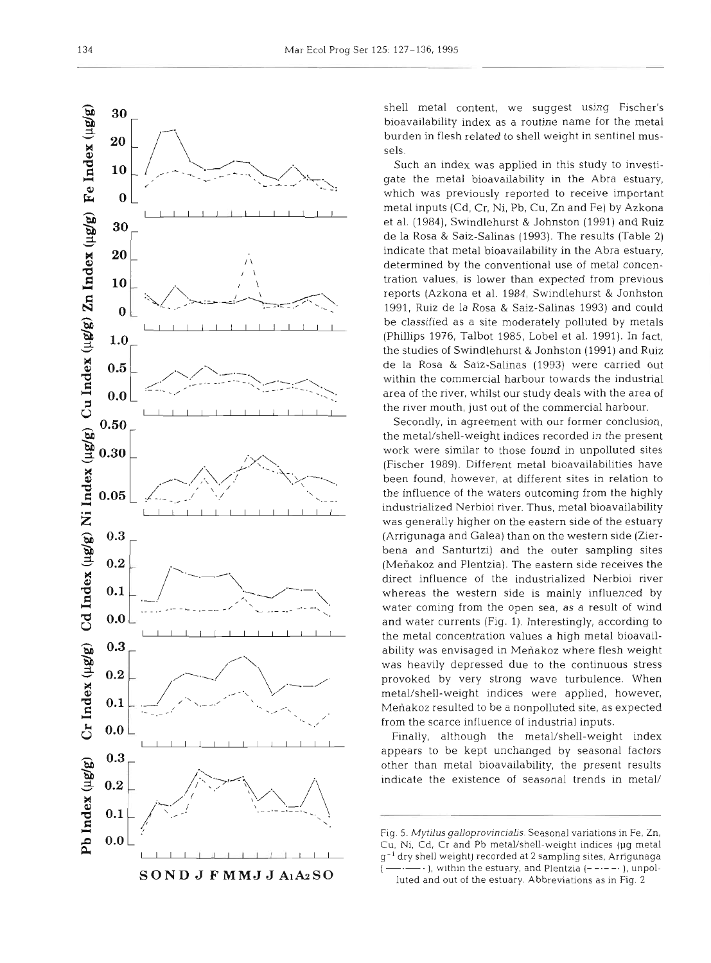

shell metal content, we suggest using Fischer's bioavailability index as a routine name for the metal burden in flesh related to shell weight in sentinel mussels.

Such an index was applied in this study to investigate the metal bioavailability in the Abra estuary, which was previously reported to receive important metal inputs (Cd, Cr, Ni, Pb, Cu, Zn and Fe) by Azkona et al. (1984), Swindlehurst & Johnston (1991) and Ruiz de la Rosa & Saiz-Salinas (1993). The results (Table 2) indicate that metal bioavailability in the Abra estuary, determined by the conventional use of metal concentration values, is lower than expected from previous reports (Azkona et al. 1984, Swindlehurst & Jonhston 1991, Ruiz de la Rosa & Saiz-Salinas 1993) and could be classified as a site moderately polluted by metals (Phillips 1976, Talbot 1985, Lobe1 et al. 1991). In fact, the studies of Swindlehurst & Jonhston (1991) and Ruiz de la Rosa & Saiz-Salinas (1993) were carried out within the commercial harbour towards the industrial area of the river, whilst our study deals with the area of the river mouth, just out of the commercial harbour.

Secondly, in agreement with our former conclusion, the metal/shell-weight indices recorded in the present work were similar to those found in unpolluted sites (Fischer 1989). Different metal bioavailabilities have been found, however, at different sites in relation to the influence of the waters outcoming from the highly industrialized Nerbioi river. Thus, metal bioavailability was generally higher on the eastern side of the estuary (Arrigunaga and Galea) than on the western side (Zierbena and Santurtzi) and the outer sampling sites (Meñakoz and Plentzia). The eastern side receives the direct influence of the industrialized Nerbioi river whereas the western side is mainly influenced by water coming from the open sea, as a result of wind and water currents (Fig. 1). Interestingly, according to the metal concentration values a high metal bioavailability was envisaged in Menakoz where flesh weight was heavily depressed due to the continuous stress provoked by very strong wave turbulence. When metal/shell-weight indices were applied, however, Meñakoz resulted to be a nonpolluted site, as expected from the scarce influence of industrial inputs.

Finally, although the metal/shell-weight index appears to be kept unchanged by seasonal factors other than metal bioavailability, the present results indicate the existence of seasonal trends in metal/

luted and out of the estuary. Abbreviations as in Fig. 2

Fig. 5. Mytilus galloprovincialis. Seasonal variations in Fe, Zn. Cu, Ni, Cd, Cr and Pb metal/shell-weight indices (µg metal g-l dry shell weight) recorded at 2 sampling sites, Arrigunaga  $\cdot$ ), within the estuary, and Plentzia (-----), unpol-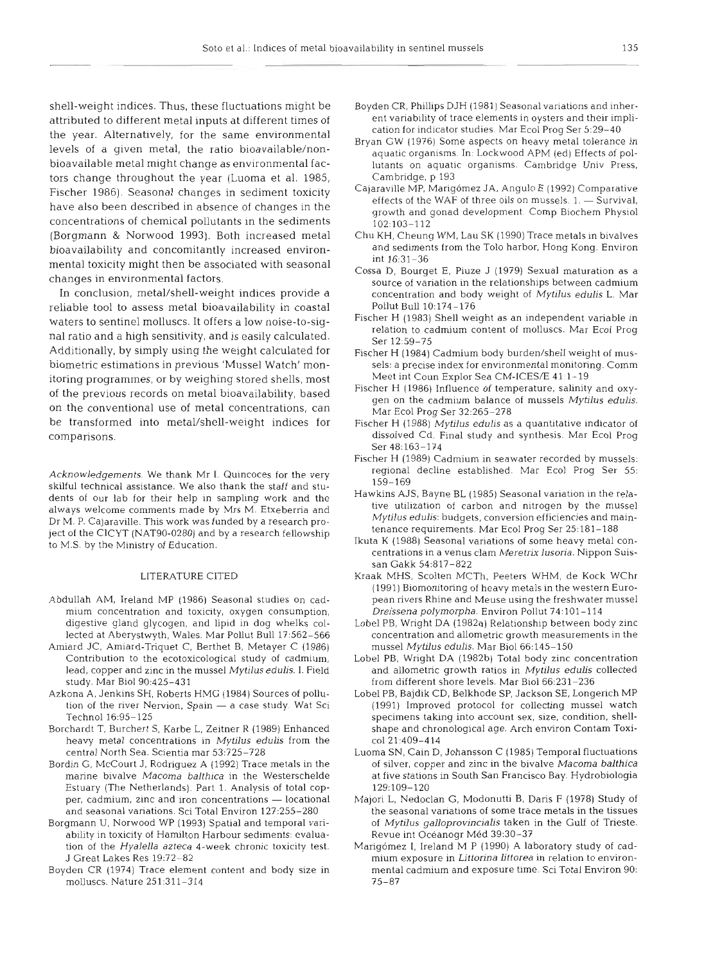shell-weight indices. Thus, these fluctuations might be attributed to different metal inputs at different times of the year. Alternatively, for the same environmental levels of a given metal, the ratio bioavailable/nonbioavailable metal might change as environmental factors change throughout the year (Luoma et al. 1985, Fischer 1986). Seasonal changes in sediment toxicity have also been described in absence of changes in the concentrations of chemical pollutants in the sediments (Borgmann & Norwood 1993). Both increased metal bioavailability and concomitantly increased environmental toxicity might then be associated with seasonal changes in environmental factors.

In conclusion, metal/shell-weight indices provide a reliable tool to assess metal bioavailability in coastal waters to sentinel molluscs. It offers a low noise-to-signal ratio and a high sensitivity, and is easily calculated. Additionally, by simply using the weight calculated for biometric estimations in previous 'Mussel Watch' monitoring programmes, or by weighing stored shells, most of the previous records on metal bioavailability, based on the conventional use of metal concentrations, can be transformed into metal/shell-weight indices for comparisons.

Acknowledgements. We thank Mr I. Quincoces for the very skilful technical assistance. We also thank the staff and students of our lab for their help in sampling work and the always welcome comments made by Mrs M. Etxeberria and Dr M. P. Cajaraville. This work was funded by a research project of the ClCYT (NAT90-0280) and by a research fellowship to M.S. by the Ministry of Education.

#### LITERATURE CITED

- Abdullah AM, Ireland MP (1986) Seasonal studies on cadmium concentration and toxicity, oxygen consumption, digestive gland glycogen, and lipid in dog whelks collected at Aberystwyth, Wales. Mar Pollut Bull 17:562-566
- Amiard JC, Amiard-Triquet C, Berthet B, Metayer C (1986) Contribution to the ecotoxicological study of cadmium, lead, copper and zinc in the mussel Mytilus edulis. **1.** Field study. Mar Biol 90:425-431
- Azkona A, Jenkins SH, Roberts HMG (1984) Sources of pollution of the river Nervion, Spain - a case study. Wat Sci Technol 16:95-125
- Borchardt T, Burchert S, Karbe L, Zeitner R (1989) Enhanced heavy metal concentrations in Mytilus edulis from the central North Sea. Scientia mar 53:725-728
- Bordin G. McCourt J, Rodriguez **A** (1992) Trace metals in the marine bivalve Macoma balthica in the Westerschelde Estuary (The Netherlands). Part 1. Analysis of total copper, cadmium, zinc and iron concentrations - locational and seasonal vanations. Sci Total Environ 127:255-280
- Borgmann U, Norwood WP (1993) Spatial and temporal variability in toxicity of Hamilton Harbour sediments: evaluation of the Hyalella azteca 4-week chronic toxicity test. J Great Lakes Res 19:72-82
- Boyden CR (1974) Trace element content and body size in molluscs. Nature 251:311-314
- Boyden CR, Phillips DJH (1981) Seasonal variations and inherent variability of trace elements in oysters and their implication for indicator studies. Mar Ecol Prog Ser 5:29-40
- Bryan GW (1976) Some aspects on heavy metal tolerance in aquatic organisms. In: Lockwood APM (ed) Effects of pollutants on aquatic organisms. Cambridge Univ Press. Cambridge, p 193
- Cajaraville MP, Marigomez JA, Angulo E (1992) Comparative effects of the WAF of three oils on mussels.  $1. -$  Survival, growth and gonad development. Comp Biochem Physiol 102:103-112
- Chu KH, Cheung WM. Lau SK (1990) Trace metals in bivalves and sediments from the To10 harbor, Hong Kong. Environ int 16:31-36
- Cossa D, Bourget E, Piuze J (1979) Sexual maturation as a source of variation in the relationships between cadmium concentration and body weight of Mytilus edulis L. Mar Pollut Bull 10:174-176
- Fischer H (1983) Shell weight as an independent variable in relation to cadmium content of molluscs. Mar Ecol Prog Ser 12-59-75
- Fischer H (1984) Cadmium body burden/shell weight of mussels: a precise index for environmental monitoring. Comm Meet int Coun Explor Sea CM-ICES/E 41:1-19
- Fischer H (1986) Influence of temperature, salinity and oxygen on the cadmium balance of mussels Mytilus edulis. Mar Ecol Prog Ser 32:265-278
- Fischer H (1988) Mytilus edulis as a quantitative indicator of dissolved Cd. Final study and synthesis. Mar Ecol Prog Ser 48:163-174
- Fischer H (1989) Cadmium in seawater recorded by mussels: regional decline established. Mar Ecol Prog Ser 55: 159-169
- Hawkins AJS, Bayne BL (1985) Seasonal vanation in the relative utilization of carbon and nitrogen by the mussel Mytilus edulis: budgets, conversion efficiencies and maintenance requirements. Mar Ecol Prog Ser 25:181-188
- Ikuta K (1988) Seasonal variations of some heavy metal concentrations in a Venus clam Meretrix lusoria. Nippon Suissan Gakk 54:817–82
- Kraak MHS, Scolten MCTh, Peeters WHM, de Kock WChr (1991) Biomonitoring of heavy metals in the western European rivers Rhine and Meuse using the freshwater mussel Dreissena polymorpha. Environ Pollut 74:lOl-114
- Lobel PB, Wright DA (1982a) Relationship between body zinc concentration and allometric growth measurements in the mussel Mytilus edulis. Mar Biol 66:145-150
- Lobel PB, Wright DA (1982b) Total body zinc concentration and allometric growth ratios in Mytilus edulis collected from different shore levels. Mar Biol $66:231-23$
- Lobel PB. Bajdik CD. Belkhode SP, Jackson SE, Longerich MP (1991) Improved protocol for collecting mussel watch specimens taking into account sex, size, condition, shellshape and chronological age. Arch environ Contam Toxic01 21:409-414
- Luoma SN, Cain D, Johansson C (1985) Temporal fluctuations of silver, copper and zinc in the bivalve Macoma balthica at five stations in South San Francisco Bay. Hydrobiologia 129:109-120
- Malori L, Nedoclan G, Modonutti B, Daris F (1978) Study of the seasonal variations of some trace metals in the tissues of Mytilus galloprovincialis taken in the Gulf of Trieste. Revue int Océanogr Méd 39:30-37
- Marigómez I, Ireland M P (1990) A laboratory study of cadmium exposure in Littorina littorea in relation to environmental cadmium and exposure time. Sci Total Environ 90: 75-87